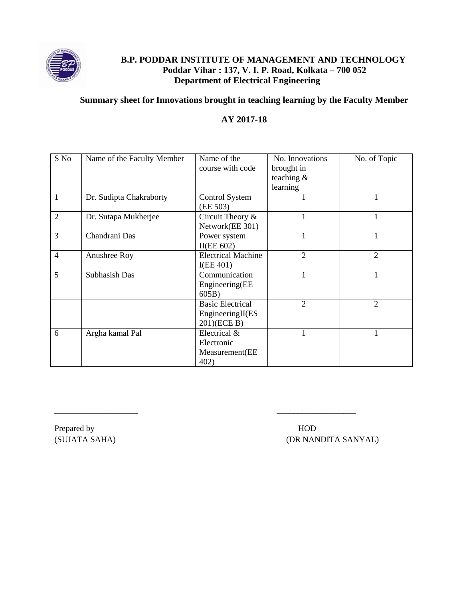

### **B.P. PODDAR INSTITUTE OF MANAGEMENT AND TECHNOLOGY Poddar Vihar : 137, V. I. P. Road, Kolkata – 700 052 Department of Electrical Engineering**

#### **Summary sheet for Innovations brought in teaching learning by the Faculty Member**

### **AY 2017-18**

| S No           | Name of the Faculty Member | Name of the               | No. Innovations | No. of Topic   |
|----------------|----------------------------|---------------------------|-----------------|----------------|
|                |                            | course with code          | brought in      |                |
|                |                            |                           | teaching $\&$   |                |
|                |                            |                           | learning        |                |
| $\mathbf{1}$   | Dr. Sudipta Chakraborty    | <b>Control System</b>     |                 |                |
|                |                            | (EE 503)                  |                 |                |
| $\overline{2}$ | Dr. Sutapa Mukherjee       | Circuit Theory $\&$       |                 | 1              |
|                |                            | Network(EE 301)           |                 |                |
| 3              | Chandrani Das              | Power system              |                 | 1              |
|                |                            | II(EE 602)                |                 |                |
| $\overline{4}$ | Anushree Roy               | <b>Electrical Machine</b> | $\overline{2}$  | $\overline{2}$ |
|                |                            | I(EE 401)                 |                 |                |
| 5              | Subhasish Das              | Communication             |                 | 1              |
|                |                            | Engineering(EE            |                 |                |
|                |                            | 605B)                     |                 |                |
|                |                            | <b>Basic Electrical</b>   | $\overline{2}$  | $\overline{2}$ |
|                |                            | EngineeringII(ES          |                 |                |
|                |                            | 201)(ECE B)               |                 |                |
| 6              | Argha kamal Pal            | Electrical &              |                 | 1              |
|                |                            | Electronic                |                 |                |
|                |                            | Measurement(EE            |                 |                |
|                |                            | 402)                      |                 |                |

\_\_\_\_\_\_\_\_\_\_\_\_\_\_\_\_\_\_\_\_ \_\_\_\_\_\_\_\_\_\_\_\_\_\_\_\_\_\_\_

Prepared by **HOD** 

(SUJATA SAHA) (DR NANDITA SANYAL)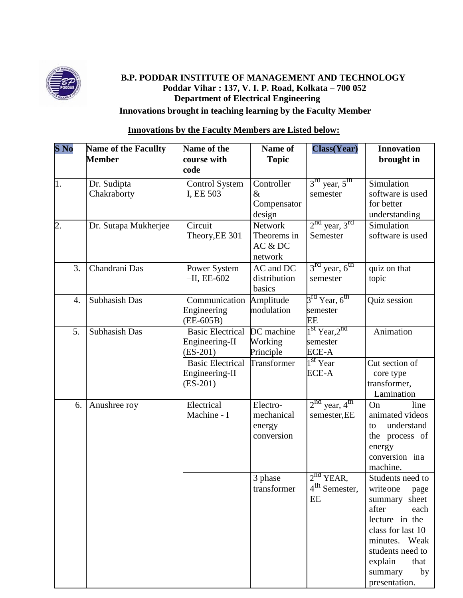

# **B.P. PODDAR INSTITUTE OF MANAGEMENT AND TECHNOLOGY Poddar Vihar : 137, V. I. P. Road, Kolkata – 700 052 Department of Electrical Engineering Innovations brought in teaching learning by the Faculty Member**

# **Innovations by the Faculty Members are Listed below:**

| $S\,\mathrm{No}$ | Name of the Facullty<br><b>Member</b> | Name of the<br>course with<br>code                      | Name of<br><b>Topic</b>                        | <b>Class(Year)</b>                                      | <b>Innovation</b><br>brought in                                                                                                                                                                          |
|------------------|---------------------------------------|---------------------------------------------------------|------------------------------------------------|---------------------------------------------------------|----------------------------------------------------------------------------------------------------------------------------------------------------------------------------------------------------------|
| 1.               | Dr. Sudipta<br>Chakraborty            | <b>Control System</b><br>I, EE 503                      | Controller<br>$\&$<br>Compensator<br>design    | $3rd$ year, $5th$<br>semester                           | Simulation<br>software is used<br>for better<br>understanding                                                                                                                                            |
| $\overline{2}$ . | Dr. Sutapa Mukherjee                  | Circuit<br>Theory, EE 301                               | Network<br>Theorems in<br>AC & DC<br>network   | $2nd$ year, $3rd$<br>Semester                           | Simulation<br>software is used                                                                                                                                                                           |
| 3.               | Chandrani Das                         | Power System<br>$-H$ , EE-602                           | AC and DC<br>distribution<br>basics            | $3rd$ year, $6th$<br>semester                           | quiz on that<br>topic                                                                                                                                                                                    |
| 4.               | Subhasish Das                         | Communication<br>Engineering<br>$(EE-605B)$             | Amplitude<br>modulation                        | 3 <sup>rd</sup> Year, 6 <sup>th</sup><br>semester<br>EE | Quiz session                                                                                                                                                                                             |
| 5.               | Subhasish Das                         | <b>Basic Electrical</b><br>Engineering-II<br>$(ES-201)$ | DC machine<br>Working<br>Principle             | $1st$ Year, $2nd$<br>semester<br>ECE-A                  | Animation                                                                                                                                                                                                |
|                  |                                       | <b>Basic Electrical</b><br>Engineering-II<br>$(ES-201)$ | Transformer                                    | $1st$ Year<br>ECE-A                                     | Cut section of<br>core type<br>transformer,<br>Lamination                                                                                                                                                |
| 6.               | Anushree roy                          | Electrical<br>Machine - I                               | Electro-<br>mechanical<br>energy<br>conversion | $2^{nd}$ year, $4^{th}$<br>semester, EE                 | On<br>line<br>animated videos<br>understand<br>to<br>the process of<br>energy<br>conversion ina<br>machine.                                                                                              |
|                  |                                       |                                                         | 3 phase<br>transformer                         | $2nd$ YEAR,<br>4 <sup>th</sup> Semester,<br>EE          | Students need to<br>write one<br>page<br>summary sheet<br>after<br>each<br>lecture in the<br>class for last 10<br>minutes. Weak<br>students need to<br>explain<br>that<br>summary<br>by<br>presentation. |